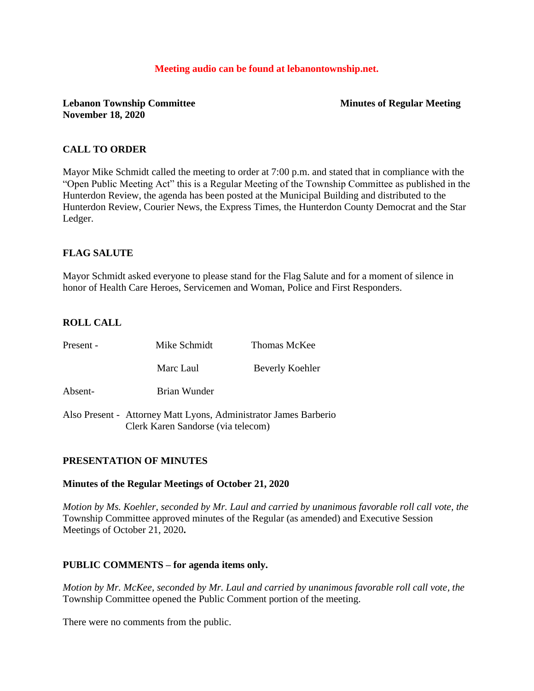#### **Meeting audio can be found at lebanontownship.net.**

### **Lebanon Township Committee Minutes of Regular Meeting November 18, 2020**

# **CALL TO ORDER**

Mayor Mike Schmidt called the meeting to order at 7:00 p.m. and stated that in compliance with the "Open Public Meeting Act" this is a Regular Meeting of the Township Committee as published in the Hunterdon Review, the agenda has been posted at the Municipal Building and distributed to the Hunterdon Review, Courier News, the Express Times, the Hunterdon County Democrat and the Star Ledger.

# **FLAG SALUTE**

Mayor Schmidt asked everyone to please stand for the Flag Salute and for a moment of silence in honor of Health Care Heroes, Servicemen and Woman, Police and First Responders.

# **ROLL CALL**

| Present - | Mike Schmidt                       | Thomas McKee                                                     |
|-----------|------------------------------------|------------------------------------------------------------------|
|           | Marc Laul                          | Beverly Koehler                                                  |
| Absent-   | Brian Wunder                       |                                                                  |
|           | Clerk Karen Sandorse (via telecom) | Also Present - Attorney Matt Lyons, Administrator James Barberio |

### **PRESENTATION OF MINUTES**

#### **Minutes of the Regular Meetings of October 21, 2020**

*Motion by Ms. Koehler, seconded by Mr. Laul and carried by unanimous favorable roll call vote, the* Township Committee approved minutes of the Regular (as amended) and Executive Session Meetings of October 21, 2020**.** 

### **PUBLIC COMMENTS – for agenda items only.**

*Motion by Mr. McKee, seconded by Mr. Laul and carried by unanimous favorable roll call vote, the* Township Committee opened the Public Comment portion of the meeting.

There were no comments from the public.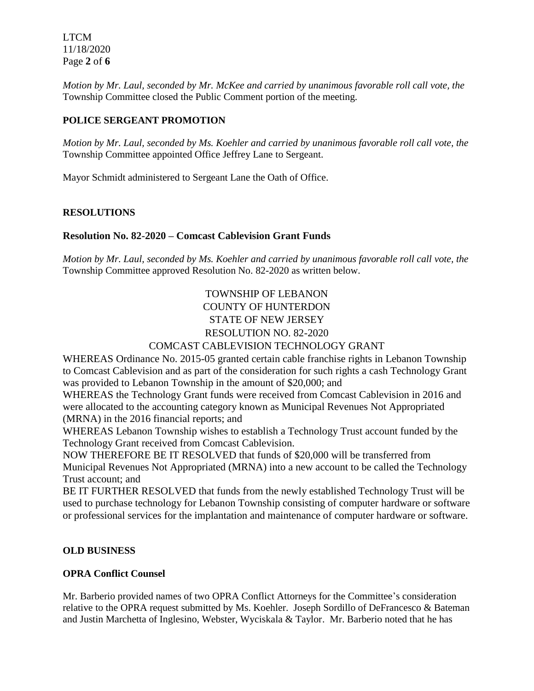LTCM 11/18/2020 Page **2** of **6**

*Motion by Mr. Laul, seconded by Mr. McKee and carried by unanimous favorable roll call vote, the* Township Committee closed the Public Comment portion of the meeting.

# **POLICE SERGEANT PROMOTION**

*Motion by Mr. Laul, seconded by Ms. Koehler and carried by unanimous favorable roll call vote, the* Township Committee appointed Office Jeffrey Lane to Sergeant.

Mayor Schmidt administered to Sergeant Lane the Oath of Office.

### **RESOLUTIONS**

# **Resolution No. 82-2020 – Comcast Cablevision Grant Funds**

*Motion by Mr. Laul, seconded by Ms. Koehler and carried by unanimous favorable roll call vote, the* Township Committee approved Resolution No. 82-2020 as written below.

# TOWNSHIP OF LEBANON COUNTY OF HUNTERDON STATE OF NEW JERSEY RESOLUTION NO. 82-2020 COMCAST CABLEVISION TECHNOLOGY GRANT

WHEREAS Ordinance No. 2015-05 granted certain cable franchise rights in Lebanon Township to Comcast Cablevision and as part of the consideration for such rights a cash Technology Grant was provided to Lebanon Township in the amount of \$20,000; and

WHEREAS the Technology Grant funds were received from Comcast Cablevision in 2016 and were allocated to the accounting category known as Municipal Revenues Not Appropriated (MRNA) in the 2016 financial reports; and

WHEREAS Lebanon Township wishes to establish a Technology Trust account funded by the Technology Grant received from Comcast Cablevision.

NOW THEREFORE BE IT RESOLVED that funds of \$20,000 will be transferred from Municipal Revenues Not Appropriated (MRNA) into a new account to be called the Technology Trust account; and

BE IT FURTHER RESOLVED that funds from the newly established Technology Trust will be used to purchase technology for Lebanon Township consisting of computer hardware or software or professional services for the implantation and maintenance of computer hardware or software.

### **OLD BUSINESS**

### **OPRA Conflict Counsel**

Mr. Barberio provided names of two OPRA Conflict Attorneys for the Committee's consideration relative to the OPRA request submitted by Ms. Koehler. Joseph Sordillo of DeFrancesco & Bateman and Justin Marchetta of Inglesino, Webster, Wyciskala & Taylor. Mr. Barberio noted that he has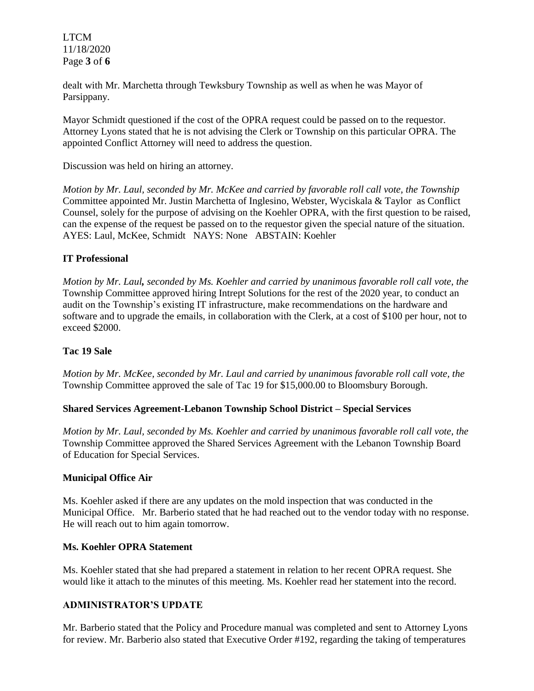LTCM 11/18/2020 Page **3** of **6**

dealt with Mr. Marchetta through Tewksbury Township as well as when he was Mayor of Parsippany.

Mayor Schmidt questioned if the cost of the OPRA request could be passed on to the requestor. Attorney Lyons stated that he is not advising the Clerk or Township on this particular OPRA. The appointed Conflict Attorney will need to address the question.

Discussion was held on hiring an attorney.

*Motion by Mr. Laul, seconded by Mr. McKee and carried by favorable roll call vote, the Township* Committee appointed Mr. Justin Marchetta of Inglesino, Webster, Wyciskala & Taylor as Conflict Counsel, solely for the purpose of advising on the Koehler OPRA, with the first question to be raised, can the expense of the request be passed on to the requestor given the special nature of the situation. AYES: Laul, McKee, Schmidt NAYS: None ABSTAIN: Koehler

### **IT Professional**

*Motion by Mr. Laul, seconded by Ms. Koehler and carried by unanimous favorable roll call vote, the* Township Committee approved hiring Intrept Solutions for the rest of the 2020 year, to conduct an audit on the Township's existing IT infrastructure, make recommendations on the hardware and software and to upgrade the emails, in collaboration with the Clerk, at a cost of \$100 per hour, not to exceed \$2000.

#### **Tac 19 Sale**

*Motion by Mr. McKee, seconded by Mr. Laul and carried by unanimous favorable roll call vote, the*  Township Committee approved the sale of Tac 19 for \$15,000.00 to Bloomsbury Borough.

#### **Shared Services Agreement-Lebanon Township School District – Special Services**

*Motion by Mr. Laul, seconded by Ms. Koehler and carried by unanimous favorable roll call vote, the*  Township Committee approved the Shared Services Agreement with the Lebanon Township Board of Education for Special Services.

#### **Municipal Office Air**

Ms. Koehler asked if there are any updates on the mold inspection that was conducted in the Municipal Office. Mr. Barberio stated that he had reached out to the vendor today with no response. He will reach out to him again tomorrow.

### **Ms. Koehler OPRA Statement**

Ms. Koehler stated that she had prepared a statement in relation to her recent OPRA request. She would like it attach to the minutes of this meeting. Ms. Koehler read her statement into the record.

# **ADMINISTRATOR'S UPDATE**

Mr. Barberio stated that the Policy and Procedure manual was completed and sent to Attorney Lyons for review. Mr. Barberio also stated that Executive Order #192, regarding the taking of temperatures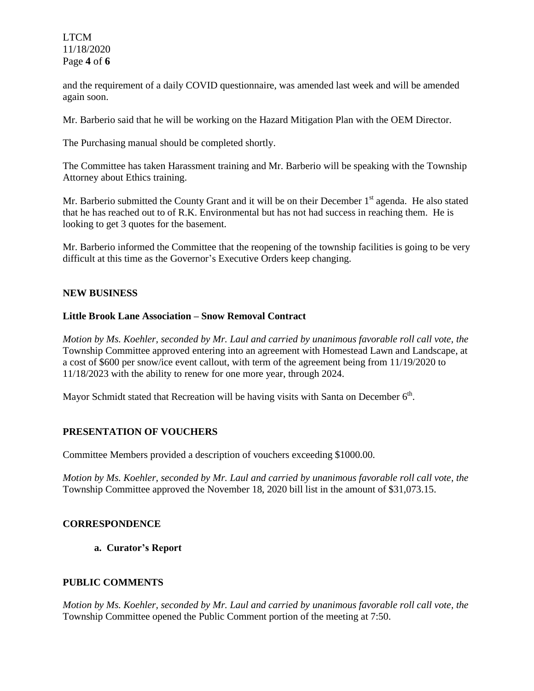LTCM 11/18/2020 Page **4** of **6**

and the requirement of a daily COVID questionnaire, was amended last week and will be amended again soon.

Mr. Barberio said that he will be working on the Hazard Mitigation Plan with the OEM Director.

The Purchasing manual should be completed shortly.

The Committee has taken Harassment training and Mr. Barberio will be speaking with the Township Attorney about Ethics training.

Mr. Barberio submitted the County Grant and it will be on their December  $1<sup>st</sup>$  agenda. He also stated that he has reached out to of R.K. Environmental but has not had success in reaching them. He is looking to get 3 quotes for the basement.

Mr. Barberio informed the Committee that the reopening of the township facilities is going to be very difficult at this time as the Governor's Executive Orders keep changing.

#### **NEW BUSINESS**

### **Little Brook Lane Association – Snow Removal Contract**

*Motion by Ms. Koehler, seconded by Mr. Laul and carried by unanimous favorable roll call vote, the* Township Committee approved entering into an agreement with Homestead Lawn and Landscape, at a cost of \$600 per snow/ice event callout, with term of the agreement being from 11/19/2020 to 11/18/2023 with the ability to renew for one more year, through 2024.

Mayor Schmidt stated that Recreation will be having visits with Santa on December  $6<sup>th</sup>$ .

### **PRESENTATION OF VOUCHERS**

Committee Members provided a description of vouchers exceeding \$1000.00.

*Motion by Ms. Koehler, seconded by Mr. Laul and carried by unanimous favorable roll call vote, the* Township Committee approved the November 18, 2020 bill list in the amount of \$31,073.15.

#### **CORRESPONDENCE**

**a. Curator's Report**

### **PUBLIC COMMENTS**

*Motion by Ms. Koehler, seconded by Mr. Laul and carried by unanimous favorable roll call vote, the* Township Committee opened the Public Comment portion of the meeting at 7:50.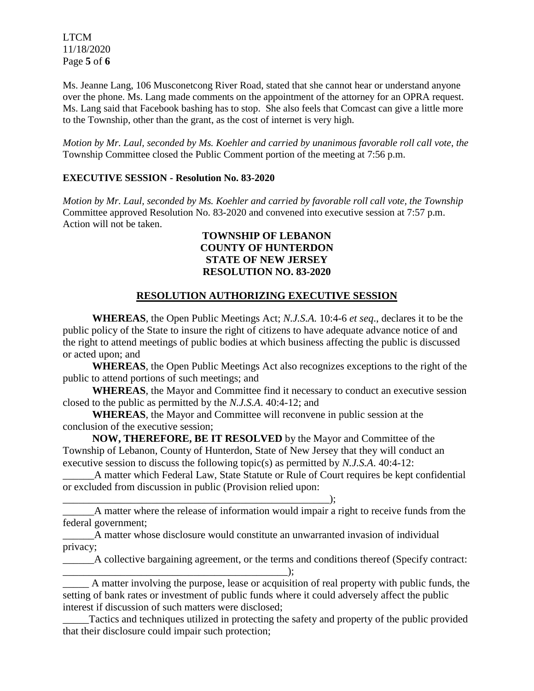LTCM 11/18/2020 Page **5** of **6**

Ms. Jeanne Lang, 106 Musconetcong River Road, stated that she cannot hear or understand anyone over the phone. Ms. Lang made comments on the appointment of the attorney for an OPRA request. Ms. Lang said that Facebook bashing has to stop. She also feels that Comcast can give a little more to the Township, other than the grant, as the cost of internet is very high.

*Motion by Mr. Laul, seconded by Ms. Koehler and carried by unanimous favorable roll call vote*, *the* Township Committee closed the Public Comment portion of the meeting at 7:56 p.m.

### **EXECUTIVE SESSION - Resolution No. 83-2020**

*Motion by Mr. Laul, seconded by Ms. Koehler and carried by favorable roll call vote, the Township*  Committee approved Resolution No. 83-2020 and convened into executive session at 7:57 p.m. Action will not be taken.

# **TOWNSHIP OF LEBANON COUNTY OF HUNTERDON STATE OF NEW JERSEY RESOLUTION NO. 83-2020**

### **RESOLUTION AUTHORIZING EXECUTIVE SESSION**

**WHEREAS**, the Open Public Meetings Act; *N.J.S.A.* 10:4-6 *et seq*., declares it to be the public policy of the State to insure the right of citizens to have adequate advance notice of and the right to attend meetings of public bodies at which business affecting the public is discussed or acted upon; and

**WHEREAS**, the Open Public Meetings Act also recognizes exceptions to the right of the public to attend portions of such meetings; and

**WHEREAS**, the Mayor and Committee find it necessary to conduct an executive session closed to the public as permitted by the *N.J.S.A*. 40:4-12; and

**WHEREAS**, the Mayor and Committee will reconvene in public session at the conclusion of the executive session;

\_\_\_\_\_\_\_\_\_\_\_\_\_\_\_\_\_\_\_\_\_\_\_\_\_\_\_\_\_\_\_\_\_\_\_\_\_\_\_\_\_\_\_\_\_\_\_\_\_\_\_);

**NOW, THEREFORE, BE IT RESOLVED** by the Mayor and Committee of the Township of Lebanon, County of Hunterdon, State of New Jersey that they will conduct an executive session to discuss the following topic(s) as permitted by *N.J.S.A*. 40:4-12:

A matter which Federal Law, State Statute or Rule of Court requires be kept confidential or excluded from discussion in public (Provision relied upon:

\_\_\_\_\_\_A matter where the release of information would impair a right to receive funds from the federal government;

\_\_\_\_\_\_A matter whose disclosure would constitute an unwarranted invasion of individual privacy;

\_\_\_\_\_\_A collective bargaining agreement, or the terms and conditions thereof (Specify contract: \_\_\_\_\_\_\_\_\_\_\_\_\_\_\_\_\_\_\_\_\_\_\_\_\_\_\_\_\_\_\_\_\_\_\_\_\_\_\_\_\_\_\_);

\_\_\_\_\_ A matter involving the purpose, lease or acquisition of real property with public funds, the setting of bank rates or investment of public funds where it could adversely affect the public interest if discussion of such matters were disclosed;

\_\_\_\_\_Tactics and techniques utilized in protecting the safety and property of the public provided that their disclosure could impair such protection;